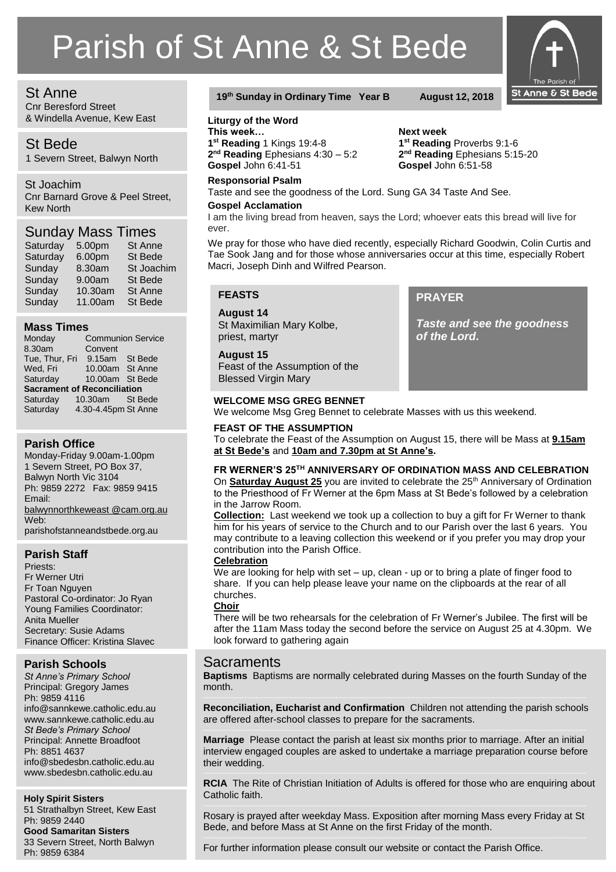# Parish of St Anne & St Bede

# St Anne

Cnr Beresford Street & Windella Avenue, Kew East

# St Bede

1 Severn Street, Balwyn North

# St Joachim

Cnr Barnard Grove & Peel Street, Kew North

# Sunday Mass Times

| Saturday | 5.00pm  | <b>St Anne</b> |
|----------|---------|----------------|
| Saturday | 6.00pm  | St Bede        |
| Sunday   | 8.30am  | St Joachim     |
| Sunday   | 9.00am  | <b>St Bede</b> |
| Sunday   | 10.30am | <b>St Anne</b> |
| Sunday   | 11.00am | St Bede        |

# **Mass Times**

| Monday                             |                     | <b>Communion Service</b> |  |  |
|------------------------------------|---------------------|--------------------------|--|--|
| 8.30am                             | Convent             |                          |  |  |
| Tue, Thur, Fri                     | 9.15am              | St Bede                  |  |  |
| Wed, Fri                           | 10.00am St Anne     |                          |  |  |
| Saturday                           | 10.00am St Bede     |                          |  |  |
| <b>Sacrament of Reconciliation</b> |                     |                          |  |  |
| Saturday                           | 10.30am St Bede     |                          |  |  |
| Saturday                           | 4.30-4.45pm St Anne |                          |  |  |

# **Parish Office**

Monday-Friday 9.00am-1.00pm 1 Severn Street, PO Box 37, Balwyn North Vic 3104 Ph: 9859 2272 Fax: 9859 9415 Email: [balwynnorthkeweast @cam.org.au](mailto:balwynnorth@cam.org.au) Web: parishofstanneandstbede.org.au

# **Parish Staff**

Priests: Fr Werner Utri Fr Toan Nguyen Pastoral Co-ordinator: Jo Ryan Young Families Coordinator: Anita Mueller Secretary: Susie Adams Finance Officer: Kristina Slavec

# **Parish Schools**

*St Anne's Primary School* Principal: Gregory James Ph: 9859 4116 info@sannkewe.catholic.edu.au www.sannkewe.catholic.edu.au *St Bede's Primary School* Principal: Annette Broadfoot Ph: 8851 4637 info@sbedesbn.catholic.edu.au www.sbedesbn.catholic.edu.au

# **Holy Spirit Sisters**

51 Strathalbyn Street, Kew East Ph: 9859 2440 **Good Samaritan Sisters** 33 Severn Street, North Balwyn Ph: 9859 6384

# **19th Sunday in Ordinary Time Year B August 12, 2018**

### **Liturgy of the Word**

**This week… Next week 1 st Reading** 1 Kings 19:4-8 **1 2 nd Reading** Ephesians 4:30 – 5:2 **2**

# **Responsorial Psalm**

Taste and see the goodness of the Lord. Sung GA 34 Taste And See.

#### **Gospel Acclamation**

I am the living bread from heaven, says the Lord; whoever eats this bread will live for ever.

We pray for those who have died recently, especially Richard Goodwin, Colin Curtis and Tae Sook Jang and for those whose anniversaries occur at this time, especially Robert Macri, Joseph Dinh and Wilfred Pearson.

**PRAYER**

*of the Lord***.**

*Taste and see the goodness* 

# **FEASTS**

**August 14** St Maximilian Mary Kolbe, priest, martyr

#### **August 15**

Feast of the Assumption of the Blessed Virgin Mary

# **WELCOME MSG GREG BENNET**

We welcome Msg Greg Bennet to celebrate Masses with us this weekend.

#### **FEAST OF THE ASSUMPTION**

To celebrate the Feast of the Assumption on August 15, there will be Mass at **9.15am at St Bede's** and **10am and 7.30pm at St Anne's.**

# **FR WERNER'S 25TH ANNIVERSARY OF ORDINATION MASS AND CELEBRATION**

On **Saturday August 25** you are invited to celebrate the 25<sup>th</sup> Anniversary of Ordination to the Priesthood of Fr Werner at the 6pm Mass at St Bede's followed by a celebration in the Jarrow Room.

**Collection:** Last weekend we took up a collection to buy a gift for Fr Werner to thank him for his years of service to the Church and to our Parish over the last 6 years. You may contribute to a leaving collection this weekend or if you prefer you may drop your contribution into the Parish Office.

#### **Celebration**

We are looking for help with set – up, clean - up or to bring a plate of finger food to share. If you can help please leave your name on the clipboards at the rear of all churches.

#### **Choir**

There will be two rehearsals for the celebration of Fr Werner's Jubilee. The first will be after the 11am Mass today the second before the service on August 25 at 4.30pm. We look forward to gathering again

# **Sacraments**

**Baptisms** Baptisms are normally celebrated during Masses on the fourth Sunday of the month.

**Reconciliation, Eucharist and Confirmation** Children not attending the parish schools are offered after-school classes to prepare for the sacraments.

**Marriage** Please contact the parish at least six months prior to marriage. After an initial interview engaged couples are asked to undertake a marriage preparation course before their wedding.

**RCIA** The Rite of Christian Initiation of Adults is offered for those who are enquiring about Catholic faith.

Rosary is prayed after weekday Mass. Exposition after morning Mass every Friday at St Bede, and before Mass at St Anne on the first Friday of the month.

For further information please consult our website or contact the Parish Office.

**st Reading** Proverbs 9:1-6 2<sup>nd</sup> Reading Ephesians 5:15-20 **Gospel** John 6:41-51 **Gospel** John 6:51-58